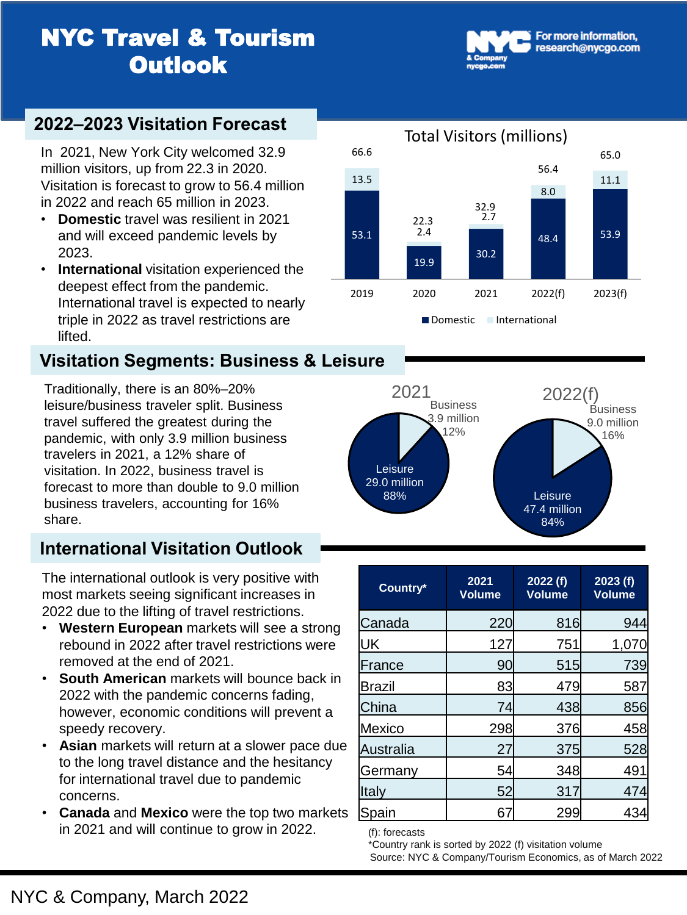# **NYC Travel & Tourism Outlook**

### **2022–2023 Visitation Forecast**

In 2021, New York City welcomed 32.9 million visitors, up from 22.3 in 2020. Visitation is forecast to grow to 56.4 million in 2022 and reach 65 million in 2023.

- **Domestic** travel was resilient in 2021 and will exceed pandemic levels by 2023.
- **International** visitation experienced the deepest effect from the pandemic. International travel is expected to nearly triple in 2022 as travel restrictions are lifted.

## **Visitation Segments: Business & Leisure**

Traditionally, there is an 80%–20% leisure/business traveler split. Business travel suffered the greatest during the pandemic, with only 3.9 million business travelers in 2021, a 12% share of visitation. In 2022, business travel is forecast to more than double to 9.0 million business travelers, accounting for 16% share.

# **International Visitation Outlook**

The international outlook is very positive with most markets seeing significant increases in 2022 due to the lifting of travel restrictions.

- **Western European** markets will see a strong rebound in 2022 after travel restrictions were removed at the end of 2021.
- **South American** markets will bounce back in 2022 with the pandemic concerns fading, however, economic conditions will prevent a speedy recovery.
- **Asian** markets will return at a slower pace due to the long travel distance and the hesitancy for international travel due to pandemic concerns.
- **Canada** and **Mexico** were the top two markets in 2021 and will continue to grow in 2022.





| Country*      | 2021<br><b>Volume</b> | 2022(f)<br><b>Volume</b> | 2023(f)<br><b>Volume</b> |
|---------------|-----------------------|--------------------------|--------------------------|
| Canada        | 220                   | 816                      | 944                      |
| UK            | 127                   | 751                      | 1,070                    |
| France        | 90                    | 515                      | 739                      |
| <b>Brazil</b> | 83                    | 479                      | 587                      |
| <b>China</b>  | 74                    | 438                      | 856                      |
| <b>Mexico</b> | 298                   | 376                      | 458                      |
| Australia     | 27                    | 375                      | 528                      |
| Germany       | 54                    | 348                      | 491                      |
| Italy         | 52                    | 317                      | 474                      |
| Spain         | 67                    | 299                      | 43                       |

(f): forecasts

\*Country rank is sorted by 2022 (f) visitation volume

Source: NYC & Company/Tourism Economics, as of March 2022